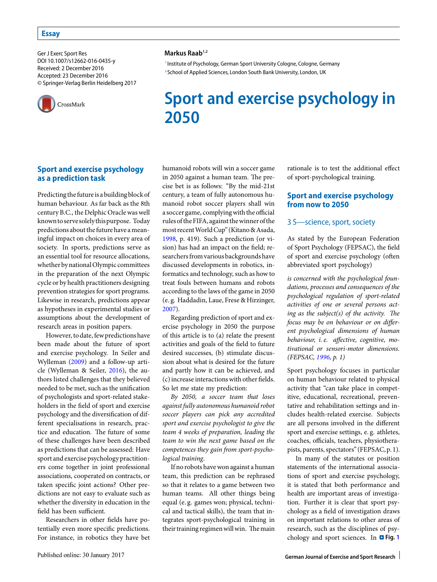Ger J Exerc Sport Res DOI 10.1007/s12662-016-0435-y Received: 2 December 2016 Accepted: 23 December 2016 © Springer-Verlag Berlin Heidelberg 2017



# **Markus Raab1,2**

<sup>1</sup> Institute of Psychology, German Sport University Cologne, Cologne, Germany 2 School of Applied Sciences, London South Bank University, London, UK

# **Sport and exercise psychology in 2050**

# **Sport and exercise psychology as a prediction task**

Predicting the future is a building block of human behaviour. As far back as the 8th century B.C., the Delphic Oracle was well known to serve solely thispurpose. Today predictions about the future have a meaningful impact on choices in every area of society. In sports, predictions serve as an essential tool for resource allocations, whether by national Olympic committees in the preparation of the next Olympic cycle or by health practitioners designing prevention strategies for sport programs. Likewise in research, predictions appear as hypotheses in experimental studies or assumptions about the development of research areas in position papers.

However, to date, few predictions have been made about the future of sport and exercise psychology. In Seiler and Wylleman [\(2009\)](#page-9-0) and a follow-up article (Wylleman & Seiler, [2016\)](#page-9-1), the authors listed challenges that they believed needed to be met, such as the unification of psychologists and sport-related stakeholders in the field of sport and exercise psychology and the diversification of different specialisations in research, practice and education. The future of some of these challenges have been described as predictions that can be assessed: Have sport and exercise psychology practitioners come together in joint professional associations, cooperated on contracts, or taken specific joint actions? Other predictions are not easy to evaluate such as whether the diversity in education in the field has been sufficient.

Researchers in other fields have potentially even more specific predictions. For instance, in robotics they have bet humanoid robots will win a soccer game in 2050 against a human team. The precise bet is as follows: "By the mid-21st century, a team of fully autonomous humanoid robot soccer players shall win a soccer game, complyingwith the official rules of the FIFA, against thewinner of the most recentWorldCup" (Kitano&Asada, [1998,](#page-8-0) p. 419). Such a prediction (or vision) has had an impact on the field; researchersfrom various backgrounds have discussed developments in robotics, informatics and technology, such as how to treat fouls between humans and robots according to the laws of the game in 2050 (e. g. Haddadin, Laue, Frese & Hirzinger, [2007\)](#page-8-1).

Regarding prediction of sport and exercise psychology in 2050 the purpose of this article is to (a) relate the present activities and goals of the field to future desired successes, (b) stimulate discussion about what is desired for the future and partly how it can be achieved, and (c) increase interactions with other fields. So let me state my prediction:

*By 2050, a soccer team that loses against fully autonomous humanoid robot soccer players can pick any accredited sport and exercise psychologist to give the team 4 weeks of preparation, leading the team to win the next game based on the competences they gain from sport-psychological training*.

If no robots have won against a human team, this prediction can be rephrased so that it relates to a game between two human teams. All other things being equal (e. g. games won; physical, technical and tactical skills), the team that integrates sport-psychological training in their training regimen will win. The main rationale is to test the additional effect of sport-psychological training.

# **Sport and exercise psychology from now to 2050**

# 3 S—science, sport, society

As stated by the European Federation of Sport Psychology (FEPSAC), the field of sport and exercise psychology (often abbreviated sport psychology)

*is concerned with the psychological foundations, processes and consequences of the psychological regulation of sport-related activities of one or several persons acting as the subject(s) of the activity. The focus may be on behaviour or on different psychological dimensions of human behaviour, i. e. affective, cognitive, motivational or sensori-motor dimensions. (FEPSAC, [1996,](#page-8-2) p. 1)*

Sport psychology focuses in particular on human behaviour related to physical activity that "can take place in competitive, educational, recreational, preventative and rehabilitation settings and includes health-related exercise. Subjects are all persons involved in the different sport and exercise settings, e. g. athletes, coaches, officials, teachers, physiotherapists, parents, spectators" (FEPSAC, p. 1).

In many of the statutes or position statements of the international associations of sport and exercise psychology, it is stated that both performance and health are important areas of investigation. Further it is clear that sport psychology as a field of investigation draws on important relations to other areas of research, such as the disciplines of psychology and sport sciences. In **o Fig. [1](#page-1-0)**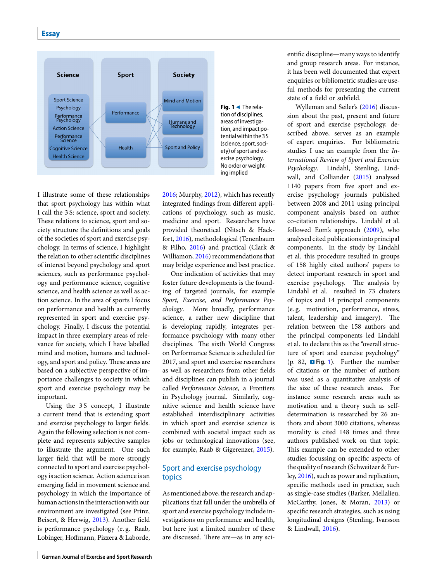

I illustrate some of these relationships that sport psychology has within what I call the 3 S: science, sport and society. These relations to science, sport and society structure the definitions and goals of the societies of sport and exercise psychology. In terms of science, I highlight the relation to other scientific disciplines of interest beyond psychology and sport sciences, such as performance psychology and performance science, cognitive science, and health science as well as action science. In the area of sports I focus on performance and health as currently represented in sport and exercise psychology. Finally, I discuss the potential impact in three exemplary areas of relevance for society, which I have labelled mind and motion, humans and technology, and sport and policy. These areas are based on a subjective perspective of importance challenges to society in which sport and exercise psychology may be important.

Using the 3 S concept, I illustrate a current trend that is extending sport and exercise psychology to larger fields. Again the following selection is not complete and represents subjective samples to illustrate the argument. One such larger field that will be more strongly connected to sport and exercise psychology is action science. Action science is an emerging field in movement science and psychology in which the importance of human actions in the interaction with our environment are investigated (see Prinz, Beisert, & Herwig, [2013\)](#page-8-3). Another field is performance psychology (e. g. Raab, Lobinger, Hoffmann, Pizzera & Laborde,

[2016;](#page-8-4) Murphy, [2012\)](#page-8-5), which has recently integrated findings from different applications of psychology, such as music, medicine and sport. Researchers have provided theoretical (Nitsch & Hackfort, [2016\)](#page-8-6), methodological (Tenenbaum & Filho, [2016\)](#page-9-2) and practical (Clark & Williamon, [2016\)](#page-8-7) recommendations that may bridge experience and best practice.

One indication of activities that may foster future developments is the founding of targeted journals, for example *Sport, Exercise, and Performance Psychology*. More broadly, performance science, a rather new discipline that is developing rapidly, integrates performance psychology with many other disciplines. The sixth World Congress on Performance Science is scheduled for 2017, and sport and exercise researchers as well as researchers from other fields and disciplines can publish in a journal called *Performance Science*, a Frontiers in Psychology journal. Similarly, cognitive science and health science have established interdisciplinary activities in which sport and exercise science is combined with societal impact such as jobs or technological innovations (see, for example, Raab & Gigerenzer, [2015\)](#page-8-8).

# Sport and exercise psychology topics

As mentioned above, the research and applications that fall under the umbrella of sport and exercise psychology include investigations on performance and health, but here just a limited number of these are discussed. There are—as in any scientific discipline—many ways to identify and group research areas. For instance, it has been well documented that expert enquiries or bibliometric studies are useful methods for presenting the current state of a field or subfield.

<span id="page-1-0"></span>Wylleman and Seiler's [\(2016\)](#page-9-1) discussion about the past, present and future of sport and exercise psychology, described above, serves as an example of expert enquiries. For bibliometric studies I use an example from the *International Review of Sport and Exercise Psychology*. Lindahl, Stenling, Lindwall, and Colliander [\(2015\)](#page-8-9) analysed 1140 papers from five sport and exercise psychology journals published between 2008 and 2011 using principal component analysis based on author co-citation relationships. Lindahl et al. followed Eom's approach [\(2009\)](#page-8-10), who analysed cited publications into principal components. In the study by Lindahl et al. this procedure resulted in groups of 158 highly cited authors' papers to detect important research in sport and exercise psychology. The analysis by Lindahl et al. resulted in 73 clusters of topics and 14 principal components (e. g. motivation, performance, stress, talent, leadership and imagery). The relation between the 158 authors and the principal components led Lindahl et al. to declare this as the "overall structure of sport and exercise psychology"  $(p. 82, \blacksquare$  Fig. [1](#page-1-0)). Further the number of citations or the number of authors was used as a quantitative analysis of the size of these research areas. For instance some research areas such as motivation and a theory such as selfdetermination is researched by 26 authors and about 3000 citations, whereas morality is cited 148 times and three authors published work on that topic. This example can be extended to other studies focussing on specific aspects of the quality of research (Schweitzer & Furley, [2016\)](#page-9-3), such as power and replication, specific methods used in practice, such as single-case studies (Barker, Mellalieu, McCarthy, Jones, & Moran, [2013\)](#page-8-11) or specific research strategies, such as using longitudinal designs (Stenling, Ivarsson & Lindwall, [2016\)](#page-9-4).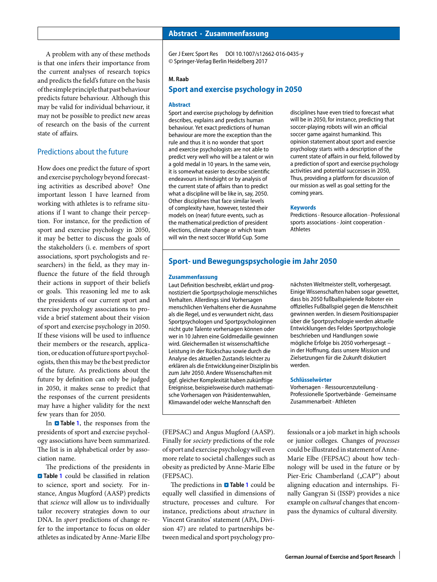A problem with any of these methods is that one infers their importance from the current analyses of research topics and predicts the field's future on the basis of the simple principle that past behaviour predicts future behaviour. Although this may be valid for individual behaviour, it may not be possible to predict new areas of research on the basis of the current state of affairs.

# Predictions about the future

How does one predict the future of sport and exercise psychology beyond forecasting activities as described above? One important lesson I have learned from working with athletes is to reframe situations if I want to change their perception. For instance, for the prediction of sport and exercise psychology in 2050, it may be better to discuss the goals of the stakeholders (i. e. members of sport associations, sport psychologists and researchers) in the field, as they may influence the future of the field through their actions in support of their beliefs or goals. This reasoning led me to ask the presidents of our current sport and exercise psychology associations to provide a brief statement about their vision of sport and exercise psychology in 2050. If these visions will be used to influence their members or the research, application, or education offuture sport psychologists, then this may be the best predictor of the future. As predictions about the future by definition can only be judged in 2050, it makes sense to predict that the responses of the current presidents may have a higher validity for the next few years than for 2050.

In **D** Table [1](#page-3-0), the responses from the presidents of sport and exercise psychology associations have been summarized. The list is in alphabetical order by association name.

The predictions of the presidents in . **Table [1](#page-3-0)** could be classified in relation to science, sport and society. For instance, Angus Mugford (AASP) predicts that *science* will allow us to individually tailor recovery strategies down to our DNA. In *sport* predictions of change refer to the importance to focus on older athletes as indicated by Anne-Marie Elbe

### **Abstract · Zusammenfassung**

Ger J Exerc Sport Res DOI 10.1007/s12662-016-0435-y © Springer-Verlag Berlin Heidelberg 2017

#### **M. Raab**

# **Sport and exercise psychology in 2050**

#### **Abstract**

Sport and exercise psychology by definition describes, explains and predicts human behaviour. Yet exact predictions of human behaviour are more the exception than the rule and thus it is no wonder that sport and exercise psychologists are not able to predict very well who will be a talent or win a gold medal in 10 years. In the same vein, it is somewhat easier to describe scientific endeavours in hindsight or by analysis of the current state of affairs than to predict what a discipline will be like in, say, 2050. Other disciplines that face similar levels of complexity have, however, tested their models on (near) future events, such as the mathematical prediction of president elections, climate change or which team will win the next soccer World Cup. Some

disciplines have even tried to forecast what will be in 2050, for instance, predicting that soccer-playing robots will win an official soccer game against humankind. This opinion statement about sport and exercise psychology starts with a description of the current state of affairs in our field, followed by a prediction of sport and exercise psychology activities and potential successes in 2050, Thus, providing a platform for discussion of our mission as well as goal setting for the coming years.

#### **Keywords**

Predictions · Resource allocation · Professional sports associations · Joint cooperation · Athletes

# **Sport- und Bewegungspsychologie im Jahr 2050**

#### **Zusammenfassung**

Laut Definition beschreibt, erklärt und prognostiziert die Sportpsychologie menschliches Verhalten. Allerdings sind Vorhersagen menschlichen Verhaltens eher die Ausnahme als die Regel, und es verwundert nicht, dass Sportpsychologen und Sportpsychologinnen nicht gute Talente vorhersagen können oder wer in 10 Jahren eine Goldmedaille gewinnen wird. Gleichermaßen ist wissenschaftliche Leistung in der Rückschau sowie durch die Analyse des aktuellen Zustands leichter zu erklären als die Entwicklung einer Disziplin bis zum Jahr 2050. Andere Wissenschaften mit ggf. gleicher Komplexität haben zukünftige Ereignisse, beispielsweise durch mathematische Vorhersagen von Präsidentenwahlen, Klimawandel oder welche Mannschaft den

nächsten Weltmeister stellt, vorhergesagt. Einige Wissenschaften haben sogar gewettet, dass bis 2050 fußballspielende Roboter ein offizielles Fußballspiel gegen die Menschheit gewinnen werden. In diesem Positionspapier über die Sportpsychologie werden aktuelle Entwicklungen des Feldes Sportpsychologie beschrieben und Handlungen sowie mögliche Erfolge bis 2050 vorhergesagt – in der Hoffnung, dass unsere Mission und Zielsetzungen für die Zukunft diskutiert werden.

#### **Schlüsselwörter**

Vorhersagen · Ressourcenzuteilung · Professionelle Sportverbände · Gemeinsame Zusammenarbeit · Athleten

(FEPSAC) and Angus Mugford (AASP). Finally for *society* predictions of the role of sport and exercise psychologywill even more relate to societal challenges such as obesity as predicted by Anne-Marie Elbe (FEPSAC).

The predictions in **D** Table [1](#page-3-0) could be equally well classified in dimensions of structure, processes and culture. For instance, predictions about *structure* in Vincent Granitos' statement (APA, Division 47) are related to partnerships between medical and sport psychology pro-

fessionals or a job market in high schools or junior colleges. Changes of *processes* could be illustrated in statement of Anne-Marie Elbe (FEPSAC) about how technology will be used in the future or by Pier-Eric Chamberland ("CAP") about aligning education and internships. Finally Gangyan Si (ISSP) provides a nice example on *cultural* changes that encompass the dynamics of cultural diversity.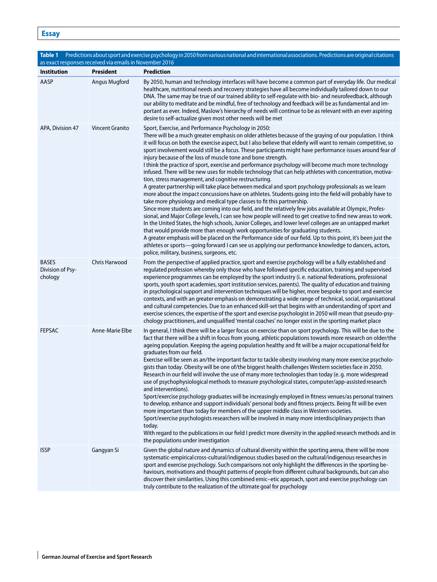<span id="page-3-0"></span>

| Table 1 Predictions about sport and exercise psychology in 2050 from various national and international associations. Predictions are original citations<br>as exact responses received via emails in November 2016 |                        |                                                                                                                                                                                                                                                                                                                                                                                                                                                                                                                                                                                                                                                                                                                                                                                                                                                                                                                                                                                                                                                                                                                                                                                                                                                                                                                                                                                                                                                                                                                                                                                                                                                                                                                                           |  |
|---------------------------------------------------------------------------------------------------------------------------------------------------------------------------------------------------------------------|------------------------|-------------------------------------------------------------------------------------------------------------------------------------------------------------------------------------------------------------------------------------------------------------------------------------------------------------------------------------------------------------------------------------------------------------------------------------------------------------------------------------------------------------------------------------------------------------------------------------------------------------------------------------------------------------------------------------------------------------------------------------------------------------------------------------------------------------------------------------------------------------------------------------------------------------------------------------------------------------------------------------------------------------------------------------------------------------------------------------------------------------------------------------------------------------------------------------------------------------------------------------------------------------------------------------------------------------------------------------------------------------------------------------------------------------------------------------------------------------------------------------------------------------------------------------------------------------------------------------------------------------------------------------------------------------------------------------------------------------------------------------------|--|
| <b>Institution</b>                                                                                                                                                                                                  | <b>President</b>       | <b>Prediction</b>                                                                                                                                                                                                                                                                                                                                                                                                                                                                                                                                                                                                                                                                                                                                                                                                                                                                                                                                                                                                                                                                                                                                                                                                                                                                                                                                                                                                                                                                                                                                                                                                                                                                                                                         |  |
| AASP                                                                                                                                                                                                                | Angus Mugford          | By 2050, human and technology interfaces will have become a common part of everyday life. Our medical<br>healthcare, nutritional needs and recovery strategies have all become individually tailored down to our<br>DNA. The same may be true of our trained ability to self-regulate with bio- and neurofeedback, although<br>our ability to meditate and be mindful, free of technology and feedback will be as fundamental and im-<br>portant as ever. Indeed, Maslow's hierarchy of needs will continue to be as relevant with an ever aspiring<br>desire to self-actualize given most other needs will be met                                                                                                                                                                                                                                                                                                                                                                                                                                                                                                                                                                                                                                                                                                                                                                                                                                                                                                                                                                                                                                                                                                                        |  |
| APA, Division 47                                                                                                                                                                                                    | <b>Vincent Granito</b> | Sport, Exercise, and Performance Psychology in 2050:<br>There will be a much greater emphasis on older athletes because of the graying of our population. I think<br>it will focus on both the exercise aspect, but I also believe that elderly will want to remain competitive, so<br>sport involvement would still be a focus. These participants might have performance issues around fear of<br>injury because of the loss of muscle tone and bone strength.<br>I think the practice of sport, exercise and performance psychology will become much more technology<br>infused. There will be new uses for mobile technology that can help athletes with concentration, motiva-<br>tion, stress management, and cognitive restructuring.<br>A greater partnership will take place between medical and sport psychology professionals as we learn<br>more about the impact concussions have on athletes. Students going into the field will probably have to<br>take more physiology and medical type classes to fit this partnership.<br>Since more students are coming into our field, and the relatively few jobs available at Olympic, Profes-<br>sional, and Major College levels, I can see how people will need to get creative to find new areas to work.<br>In the United States, the high schools, Junior Colleges, and lower level colleges are an untapped market<br>that would provide more than enough work opportunities for graduating students.<br>A greater emphasis will be placed on the Performance side of our field. Up to this point, it's been just the<br>athletes or sports-going forward I can see us applying our performance knowledge to dancers, actors,<br>police, military, business, surgeons, etc. |  |
| <b>BASES</b><br>Division of Psy-<br>chology                                                                                                                                                                         | Chris Harwood          | From the perspective of applied practice, sport and exercise psychology will be a fully established and<br>regulated profession whereby only those who have followed specific education, training and supervised<br>experience programmes can be employed by the sport industry (i. e. national federations, professional<br>sports, youth sport academies, sport institution services, parents). The quality of education and training<br>in psychological support and intervention techniques will be higher, more bespoke to sport and exercise<br>contexts, and with an greater emphasis on demonstrating a wide range of technical, social, organisational<br>and cultural competencies. Due to an enhanced skill-set that begins with an understanding of sport and<br>exercise sciences, the expertise of the sport and exercise psychologist in 2050 will mean that pseudo-psy-<br>chology practitioners, and unqualified 'mental coaches' no longer exist in the sporting market place                                                                                                                                                                                                                                                                                                                                                                                                                                                                                                                                                                                                                                                                                                                                           |  |
| <b>FEPSAC</b>                                                                                                                                                                                                       | Anne-Marie Elbe        | In general, I think there will be a larger focus on exercise than on sport psychology. This will be due to the<br>fact that there will be a shift in focus from young, athletic populations towards more research on older/the<br>ageing population. Keeping the ageing population healthy and fit will be a major occupational field for<br>graduates from our field.<br>Exercise will be seen as an/the important factor to tackle obesity involving many more exercise psycholo-<br>gists than today. Obesity will be one of/the biggest health challenges Western societies face in 2050.<br>Research in our field will involve the use of many more technologies than today (e. g. more widespread<br>use of psychophysiological methods to measure psychological states, computer/app-assisted research<br>and interventions).<br>Sport/exercise psychology graduates will be increasingly employed in fitness venues/as personal trainers<br>to develop, enhance and support individuals' personal body and fitness projects. Being fit will be even<br>more important than today for members of the upper middle class in Western societies.<br>Sport/exercise psychologists researchers will be involved in many more interdisciplinary projects than<br>today.<br>With regard to the publications in our field I predict more diversity in the applied research methods and in<br>the populations under investigation                                                                                                                                                                                                                                                                                                           |  |
| <b>ISSP</b>                                                                                                                                                                                                         | Gangyan Si             | Given the global nature and dynamics of cultural diversity within the sporting arena, there will be more<br>systematic-empirical cross-cultural/indigenous studies based on the cultural/indigenous researches in<br>sport and exercise psychology. Such comparisons not only highlight the differences in the sporting be-<br>haviours, motivations and thought patterns of people from different cultural backgrounds, but can also<br>discover their similarities. Using this combined emic-etic approach, sport and exercise psychology can<br>truly contribute to the realization of the ultimate goal for psychology                                                                                                                                                                                                                                                                                                                                                                                                                                                                                                                                                                                                                                                                                                                                                                                                                                                                                                                                                                                                                                                                                                                |  |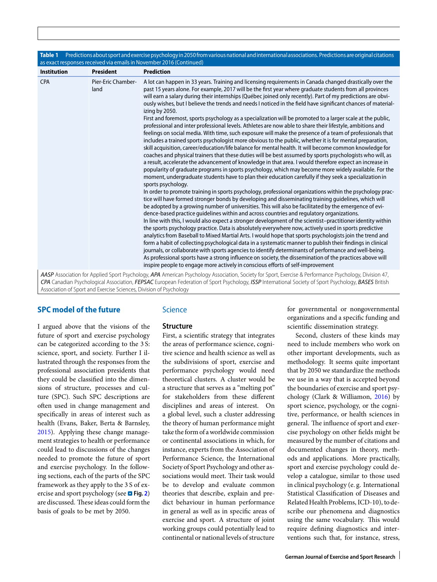#### Table 1 Predictions about sport and exercise psychology in 2050 from various national and international associations. Predictions are original citations as exact responses received via emails in November 2016 (Continued)

| <b>Institution</b>                                                                                                                                                                                                                                                                                              | <b>President</b>           | <b>Prediction</b>                                                                                                                                                                                                                                                                                                                                                                                                                                                                                                                                                                                                                                                                                                                                                                                                                                                                                                                                                                                                                                                                                                                                                                                                                                                                                                                                                                                                                                                                                                                                                                                                                                                                                                                                                                                                                                                                                                                                                                                                                                                                                                                                                                                                                                                                                                                                                                                                                                                                                                                                                                                                                                                                             |  |
|-----------------------------------------------------------------------------------------------------------------------------------------------------------------------------------------------------------------------------------------------------------------------------------------------------------------|----------------------------|-----------------------------------------------------------------------------------------------------------------------------------------------------------------------------------------------------------------------------------------------------------------------------------------------------------------------------------------------------------------------------------------------------------------------------------------------------------------------------------------------------------------------------------------------------------------------------------------------------------------------------------------------------------------------------------------------------------------------------------------------------------------------------------------------------------------------------------------------------------------------------------------------------------------------------------------------------------------------------------------------------------------------------------------------------------------------------------------------------------------------------------------------------------------------------------------------------------------------------------------------------------------------------------------------------------------------------------------------------------------------------------------------------------------------------------------------------------------------------------------------------------------------------------------------------------------------------------------------------------------------------------------------------------------------------------------------------------------------------------------------------------------------------------------------------------------------------------------------------------------------------------------------------------------------------------------------------------------------------------------------------------------------------------------------------------------------------------------------------------------------------------------------------------------------------------------------------------------------------------------------------------------------------------------------------------------------------------------------------------------------------------------------------------------------------------------------------------------------------------------------------------------------------------------------------------------------------------------------------------------------------------------------------------------------------------------------|--|
| <b>CPA</b>                                                                                                                                                                                                                                                                                                      | Pier-Eric Chamber-<br>land | A lot can happen in 33 years. Training and licensing requirements in Canada changed drastically over the<br>past 15 years alone. For example, 2017 will be the first year where graduate students from all provinces<br>will earn a salary during their internships (Québec joined only recently). Part of my predictions are obvi-<br>ously wishes, but I believe the trends and needs I noticed in the field have significant chances of material-<br>izing by 2050.<br>First and foremost, sports psychology as a specialization will be promoted to a larger scale at the public,<br>professional and inter professional levels. Athletes are now able to share their lifestyle, ambitions and<br>feelings on social media. With time, such exposure will make the presence of a team of professionals that<br>includes a trained sports psychologist more obvious to the public, whether it is for mental preparation,<br>skill acquisition, career/education/life balance for mental health. It will become common knowledge for<br>coaches and physical trainers that these duties will be best assumed by sports psychologists who will, as<br>a result, accelerate the advancement of knowledge in that area. I would therefore expect an increase in<br>popularity of graduate programs in sports psychology, which may become more widely available. For the<br>moment, undergraduate students have to plan their education carefully if they seek a specialization in<br>sports psychology.<br>In order to promote training in sports psychology, professional organizations within the psychology prac-<br>tice will have formed stronger bonds by developing and disseminating training guidelines, which will<br>be adopted by a growing number of universities. This will also be facilitated by the emergence of evi-<br>dence-based practice quidelines within and across countries and regulatory organizations.<br>In line with this, I would also expect a stronger development of the scientist-practitioner identity within<br>the sports psychology practice. Data is absolutely everywhere now, actively used in sports predictive<br>analytics from Baseball to Mixed Martial Arts. I would hope that sports psychologists join the trend and<br>form a habit of collecting psychological data in a systematic manner to publish their findings in clinical<br>journals, or collaborate with sports agencies to identify determinants of performance and well-being.<br>As professional sports have a strong influence on society, the dissemination of the practices above will<br>inspire people to engage more actively in conscious efforts of self-improvement |  |
| AASP Association for Applied Sport Psychology, APA American Psychology Association, Society for Sport, Exercise & Performance Psychology, Division 47,<br>CPA Canadian Psychological Association, FEPSAC European Federation of Sport Psychology, ISSP International Society of Sport Psychology, BASES British |                            |                                                                                                                                                                                                                                                                                                                                                                                                                                                                                                                                                                                                                                                                                                                                                                                                                                                                                                                                                                                                                                                                                                                                                                                                                                                                                                                                                                                                                                                                                                                                                                                                                                                                                                                                                                                                                                                                                                                                                                                                                                                                                                                                                                                                                                                                                                                                                                                                                                                                                                                                                                                                                                                                                               |  |

Association of Sport and Exercise Sciences, Division of Psychology

# **SPC model of the future**

I argued above that the visions of the future of sport and exercise psychology can be categorized according to the 3 S: science, sport, and society. Further I illustrated through the responses from the professional association presidents that they could be classified into the dimensions of structure, processes and culture (SPC). Such SPC descriptions are often used in change management and specifically in areas of interest such as health (Evans, Baker, Berta & Barnsley, [2015\)](#page-8-12). Applying these change management strategies to health or performance could lead to discussions of the changes needed to promote the future of sport and exercise psychology. In the following sections, each of the parts of the SPC framework as they apply to the 3 S of exercise and sport psychology (see **o** Fig. [2](#page-5-0)) are discussed. These ideas could form the basis of goals to be met by 2050.

# **Science**

# **Structure**

First, a scientific strategy that integrates the areas of performance science, cognitive science and health science as well as the subdivisions of sport, exercise and performance psychology would need theoretical clusters. A cluster would be a structure that serves as a "melting pot" for stakeholders from these different disciplines and areas of interest. On a global level, such a cluster addressing the theory of human performance might take the form of a worldwide commission or continental associations in which, for instance, experts from the Association of Performance Science, the International Society of Sport Psychology and other associations would meet. Their task would be to develop and evaluate common theories that describe, explain and predict behaviour in human performance in general as well as in specific areas of exercise and sport. A structure of joint working groups could potentially lead to continental or national levels of structure for governmental or nongovernmental organizations and a specific funding and scientific dissemination strategy.

Second, clusters of these kinds may need to include members who work on other important developments, such as methodology. It seems quite important that by 2050 we standardize the methods we use in a way that is accepted beyond the boundaries of exercise and sport psychology (Clark & Williamon, [2016\)](#page-8-7) by sport science, psychology, or the cognitive, performance, or health sciences in general. The influence of sport and exercise psychology on other fields might be measured by the number of citations and documented changes in theory, methods and applications. More practically, sport and exercise psychology could develop a catalogue, similar to those used in clinical psychology (e. g. International Statistical Classification of Diseases and Related Health Problems, ICD-10), to describe our phenomena and diagnostics using the same vocabulary. This would require defining diagnostics and interventions such that, for instance, stress,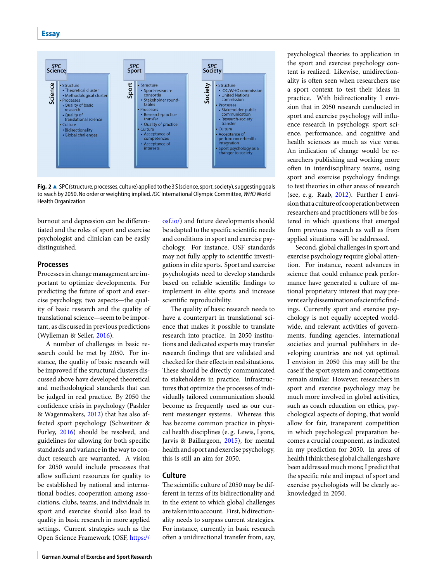

<span id="page-5-0"></span>**Fig. 2** A SPC (structure, processes, culture) applied to the 3 S (science, sport, society), suggesting goals to reach by 2050. No order or weighting implied. *IOC* International Olympic Committee,*WHO*World Health Organization

burnout and depression can be differentiated and the roles of sport and exercise psychologist and clinician can be easily distinguished.

#### **Processes**

Processes in change management are important to optimize developments. For predicting the future of sport and exercise psychology, two aspects—the quality of basic research and the quality of translational science—seem to be important, as discussed in previous predictions (Wylleman & Seiler, [2016\)](#page-9-1).

A number of challenges in basic research could be met by 2050. For instance, the quality of basic research will be improved if the structural clusters discussed above have developed theoretical and methodological standards that can be judged in real practice. By 2050 the confidence crisis in psychology (Pashler & Wagenmakers, [2012\)](#page-8-13) that has also affected sport psychology (Schweitzer & Furley, [2016\)](#page-9-3) should be resolved, and guidelines for allowing for both specific standards and variance in the way to conduct research are warranted. A vision for 2050 would include processes that allow sufficient resources for quality to be established by national and international bodies; cooperation among associations, clubs, teams, and individuals in sport and exercise should also lead to quality in basic research in more applied settings. Current strategies such as the Open Science Framework (OSF, [https://](https://osf.io/) [osf.io/\)](https://osf.io/) and future developments should be adapted to the specific scientific needs and conditions in sport and exercise psychology. For instance, OSF standards may not fully apply to scientific investigations in elite sports. Sport and exercise psychologists need to develop standards based on reliable scientific findings to implement in elite sports and increase scientific reproducibility.

The quality of basic research needs to have a counterpart in translational science that makes it possible to translate research into practice. In 2050 institutions and dedicated experts may transfer research findings that are validated and checked for their effects in real situations. These should be directly communicated to stakeholders in practice. Infrastructures that optimize the processes of individually tailored communication should become as frequently used as our current messenger systems. Whereas this has become common practice in physical health disciplines (e. g. Lewis, Lyons, Jarvis & Baillargeon, [2015\)](#page-8-14), for mental health and sport and exercise psychology, this is still an aim for 2050.

#### **Culture**

The scientific culture of 2050 may be different in terms of its bidirectionality and in the extent to which global challenges are taken into account. First, bidirectionality needs to surpass current strategies. For instance, currently in basic research often a unidirectional transfer from, say,

psychological theories to application in the sport and exercise psychology content is realized. Likewise, unidirectionality is often seen when researchers use a sport context to test their ideas in practice. With bidirectionality I envision that in 2050 research conducted in sport and exercise psychology will influence research in psychology, sport science, performance, and cognitive and health sciences as much as vice versa. An indication of change would be researchers publishing and working more often in interdisciplinary teams, using sport and exercise psychology findings to test theories in other areas of research (see, e. g. Raab, [2012\)](#page-8-15). Further I envision that a culture of cooperation between researchers and practitioners will be fostered in which questions that emerged from previous research as well as from applied situations will be addressed.

Second, global challenges in sport and exercise psychology require global attention. For instance, recent advances in science that could enhance peak performance have generated a culture of national proprietary interest that may preventearlydisseminationof scientific findings. Currently sport and exercise psychology is not equally accepted worldwide, and relevant activities of governments, funding agencies, international societies and journal publishers in developing countries are not yet optimal. I envision in 2050 this may still be the case if the sport system and competitions remain similar. However, researchers in sport and exercise psychology may be much more involved in global activities, such as coach education on ethics, psychological aspects of doping, that would allow for fair, transparent competition in which psychological preparation becomes a crucial component, as indicated in my prediction for 2050. In areas of health I think these global challenges have been addressed muchmore; I predict that the specific role and impact of sport and exercise psychologists will be clearly acknowledged in 2050.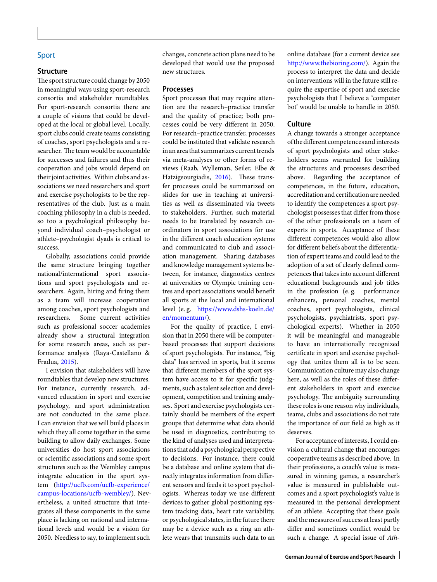# Sport

#### **Structure**

The sport structure could change by 2050 in meaningful ways using sport-research consortia and stakeholder roundtables. For sport-research consortia there are a couple of visions that could be developed at the local or global level. Locally, sport clubs could create teams consisting of coaches, sport psychologists and a researcher. The team would be accountable for successes and failures and thus their cooperation and jobs would depend on their joint activities. Within clubs and associations we need researchers and sport and exercise psychologists to be the representatives of the club. Just as a main coaching philosophy in a club is needed, so too a psychological philosophy beyond individual coach–psychologist or athlete–psychologist dyads is critical to success.

Globally, associations could provide the same structure bringing together national/international sport associations and sport psychologists and researchers. Again, hiring and firing them as a team will increase cooperation among coaches, sport psychologists and researchers. Some current activities such as professional soccer academies already show a structural integration for some research areas, such as performance analysis (Raya-Castellano & Fradua, [2015\)](#page-9-5).

I envision that stakeholders will have roundtables that develop new structures. For instance, currently research, advanced education in sport and exercise psychology, and sport administration are not conducted in the same place. I can envision that we will build places in which they all come together in the same building to allow daily exchanges. Some universities do host sport associations or scientific associations and some sport structures such as the Wembley campus integrate education in the sport system [\(http://ucfb.com/ucfb-experience/](http://ucfb.com/ucfb-experience/campus-locations/ucfb-wembley/) [campus-locations/ucfb-wembley/\)](http://ucfb.com/ucfb-experience/campus-locations/ucfb-wembley/). Nevertheless, a united structure that integrates all these components in the same place is lacking on national and international levels and would be a vision for 2050. Needless to say, to implement such

changes, concrete action plans need to be developed that would use the proposed new structures.

#### **Processes**

Sport processes that may require attention are the research–practice transfer and the quality of practice; both processes could be very different in 2050. For research–practice transfer, processes could be instituted that validate research in an area that summarizes current trends via meta-analyses or other forms of reviews (Raab, Wylleman, Seiler, Elbe & Hatzigeourgiadis, [2016\)](#page-8-16). These transfer processes could be summarized on slides for use in teaching at universities as well as disseminated via tweets to stakeholders. Further, such material needs to be translated by research coordinators in sport associations for use in the different coach education systems and communicated to club and association management. Sharing databases and knowledge management systems between, for instance, diagnostics centres at universities or Olympic training centres and sport associations would benefit all sports at the local and international level (e. g. [https://www.dshs-koeln.de/](https://www.dshs-koeln.de/en/momentum/) [en/momentum/\)](https://www.dshs-koeln.de/en/momentum/).

For the quality of practice, I envision that in 2050 there will be computerbased processes that support decisions of sport psychologists. For instance, "big data" has arrived in sports, but it seems that different members of the sport system have access to it for specific judgments, such as talent selection and development, competition and training analyses. Sport and exercise psychologists certainly should be members of the expert groups that determine what data should be used in diagnostics, contributing to the kind of analyses used and interpretations that add a psychological perspective to decisions. For instance, there could be a database and online system that directly integrates information from different sensors and feeds it to sport psychologists. Whereas today we use different devices to gather global positioning system tracking data, heart rate variability, or psychological states, in thefuture there may be a device such as a ring an athlete wears that transmits such data to an online database (for a current device see [http://www.thebioring.com/\)](http://www.thebioring.com/). Again the process to interpret the data and decide on interventions will in the future still require the expertise of sport and exercise psychologists that I believe a 'computer bot' would be unable to handle in 2050.

### **Culture**

A change towards a stronger acceptance of the different competences andinterests of sport psychologists and other stakeholders seems warranted for building the structures and processes described above. Regarding the acceptance of competences, in the future, education, accreditation and certification are needed to identify the competences a sport psychologist possesses that differ from those of the other professionals on a team of experts in sports. Acceptance of these different competences would also allow for different beliefs about the differentiation of expert teams and could lead to the adoption of a set of clearly defined competences that takes into account different educational backgrounds and job titles in the profession (e. g. performance enhancers, personal coaches, mental coaches, sport psychologists, clinical psychologists, psychiatrists, sport psychological experts). Whether in 2050 it will be meaningful and manageable to have an internationally recognized certificate in sport and exercise psychology that unites them all is to be seen. Communication culture may also change here, as well as the roles of these different stakeholders in sport and exercise psychology. The ambiguity surrounding these roles is one reason why individuals, teams, clubs and associations do not rate the importance of our field as high as it deserves.

For acceptance of interests, I could envision a cultural change that encourages cooperative teams as described above. In their professions, a coach's value is measured in winning games, a researcher's value is measured in publishable outcomes and a sport psychologist's value is measured in the personal development of an athlete. Accepting that these goals and the measures of success at least partly differ and sometimes conflict would be such a change. A special issue of *Ath*-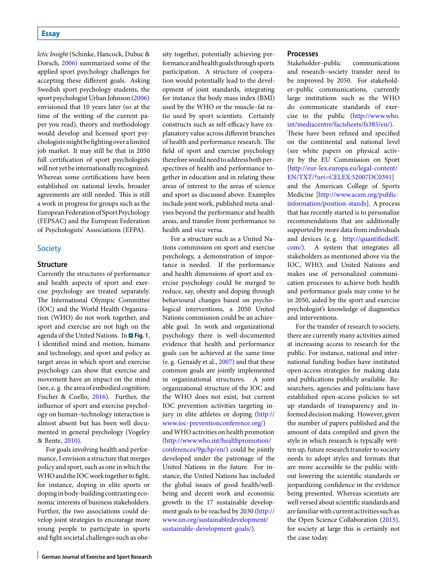*letic Insight*(Schinke, Hancock, Dubuc & Dorsch, [2006\)](#page-9-6) summarized some of the applied sport psychology challenges for accepting these different goals. Asking Swedish sport psychology students, the sport psychologist Urban Johnson [\(2006\)](#page-8-17) envisioned that 10 years later (so at the time of the writing of the current paper you read), theory and methodology would develop and licensed sport psychologistsmight be fighting overalimited job market. It may still be that in 2050 full certification of sport psychologists will not yet be internationally recognized. Whereas some certifications have been established on national levels, broader agreements are still needed. This is still a work in progress for groups such as the European Federation ofSportPsychology (FEPSAC) and the European Federation of Psychologists' Associations (EFPA).

#### **Society**

#### **Structure**

Currently the structures of performance and health aspects of sport and exercise psychology are treated separately. The International Olympic Committee (IOC) and the World Health Organization (WHO) do not work together, and sport and exercise are not high on the agenda of the United Nations. In **D** Fig. [1](#page-1-0), I identified mind and motion, humans and technology, and sport and policy as target areas in which sport and exercise psychology can show that exercise and movement have an impact on the mind (see, e. g. the area of embodied cognition; Fischer & Coello, [2016\)](#page-8-18). Further, the influence of sport and exercise psychology on human–technology interaction is almost absent but has been well documented in general psychology (Vogeley & Bente, [2010\)](#page-9-7).

For goals involving health and performance, I envision a structure that merges policy and sport, such as one in which the WHO and the IOCwork together to fight, for instance, doping in elite sports or dopingin body-building contrasting economic interests of business stakeholders. Further, the two associations could develop joint strategies to encourage more young people to participate in sports and fight societal challenges such as obesity together, potentially achieving performance and healthgoals through sports participation. A structure of cooperation would potentially lead to the development of joint standards, integrating for instance the body mass index (BMI) used by the WHO or the muscle–fat ratio used by sport scientists. Certainly constructs such as self-efficacy have explanatory value across different branches of health and performance research. The field of sport and exercise psychology thereforewould need toaddress both perspectives of health and performance together in education and in relating these areas of interest to the areas of science and sport as discussed above. Examples include joint work, published meta-analyses beyond the performance and health areas, and transfer from performance to health and vice versa.

For a structure such as a United Nations commission on sport and exercise psychology, a demonstration of importance is needed. If the performance and health dimensions of sport and exercise psychology could be merged to reduce, say, obesity and doping through behavioural changes based on psychological interventions, a 2050 United Nations commission could be an achievable goal. In work and organizational psychology there is well-documented evidence that health and performance goals can be achieved at the same time (e. g. Genaidy et al., [2007\)](#page-8-19) and that these common goals are jointly implemented in organizational structures. A joint organizational structure of the IOC and the WHO does not exist, but current IOC prevention activities targeting injury in elite athletes or doping [\(http://](http://www.ioc-preventionconference.org/) [www.ioc-preventionconference.org/\)](http://www.ioc-preventionconference.org/) andWHO activities on health promotion [\(http://www.who.int/healthpromotion/](http://www.who.int/healthpromotion/conferences/9gchp/en/) [conferences/9gchp/en/\)](http://www.who.int/healthpromotion/conferences/9gchp/en/) could be jointly developed under the patronage of the United Nations in the future. For instance, the United Nations has included the global issues of good health/wellbeing and decent work and economic growth in the 17 sustainable development goals to be reached by 2030 [\(http://](http://www.un.org/sustainabledevelopment/sustainable-development-goals/) [www.un.org/sustainabledevelopment/](http://www.un.org/sustainabledevelopment/sustainable-development-goals/) [sustainable-development-goals/\)](http://www.un.org/sustainabledevelopment/sustainable-development-goals/).

#### **Processes**

Stakeholder–public communications and research–society transfer need to be improved by 2050. For stakeholder–public communications, currently large institutions such as the WHO do communicate standards of exercise to the public [\(http://www.who.](http://www.who.int/mediacentre/factsheets/fs385/en/) [int/mediacentre/factsheets/fs385/en/\)](http://www.who.int/mediacentre/factsheets/fs385/en/). These have been refined and specified on the continental and national level (see white papers on physical activity by the EU Commission on Sport [\[http://eur-lex.europa.eu/legal-content/](http://eur-lex.europa.eu/legal-content/EN/TXT/?uri=CELEX:52007DC0391) [EN/TXT/?uri=CELEX:52007DC0391\]](http://eur-lex.europa.eu/legal-content/EN/TXT/?uri=CELEX:52007DC0391) and the American College of Sports Medicine [\[http://www.acsm.org/public](http://www.acsm.org/public-information/position-stands)[information/position-stands\]](http://www.acsm.org/public-information/position-stands). A process that has recently started is to personalize recommendations that are additionally supported by more data from individuals and devices (e. g. [http://quantifiedself.](http://quantifiedself.com/) [com/\)](http://quantifiedself.com/). A system that integrates all stakeholders as mentioned above via the IOC, WHO, and United Nations and makes use of personalized communication processes to achieve both health and performance goals may come to be in 2050, aided by the sport and exercise psychologist's knowledge of diagnostics and interventions.

For the transfer of research to society, there are currently many activities aimed at increasing access to research for the public. For instance, national and international funding bodies have instituted open-access strategies for making data and publications publicly available. Researchers, agencies and politicians have established open-access policies to set up standards of transparency and informed decision making. However, given the number of papers published and the amount of data compiled and given the style in which research is typically written up, future research transfer to society needs to adopt styles and formats that are more accessible to the public without lowering the scientific standards or jeopardizing confidence in the evidence being presented. Whereas scientists are well versed about scientific standards and arefamiliarwith current activities such as the Open Science Collaboration [\(2015\)](#page-8-20), for society at large this is certainly not the case today.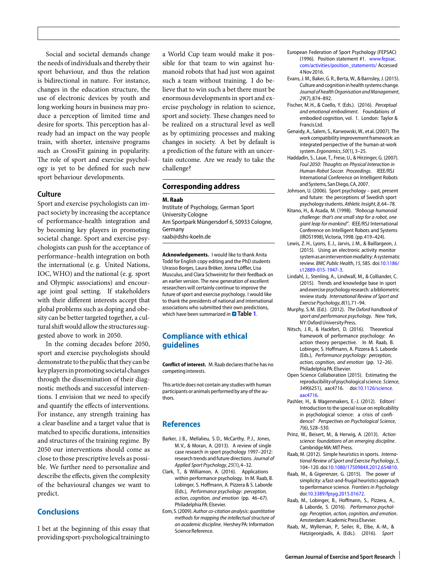Social and societal demands change the needs of individuals and thereby their sport behaviour, and thus the relation is bidirectional in nature. For instance, changes in the education structure, the use of electronic devices by youth and long working hours in business may produce a perception of limited time and desire for sports. This perception has already had an impact on the way people train, with shorter, intensive programs such as CrossFit gaining in popularity. The role of sport and exercise psychology is yet to be defined for such new sport behaviour developments.

#### **Culture**

Sport and exercise psychologists can impact society by increasing the acceptance of performance-health integration and by becoming key players in promoting societal change. Sport and exercise psychologists can push for the acceptance of performance–health integration on both the international (e. g. United Nations, IOC, WHO) and the national (e. g. sport and Olympic associations) and encourage joint goal setting. If stakeholders with their different interests accept that global problems such as doping and obesity can be better targeted together, a cultural shift would allow the structures suggested above to work in 2050.

In the coming decades before 2050, sport and exercise psychologists should demonstrate to the public that they can be key playersin promoting societal changes through the dissemination of their diagnostic methods and successful interventions. I envision that we need to specify and quantify the effects of interventions. For instance, any strength training has a clear baseline and a target value that is matched to specific durations, intensities and structures of the training regime. By 2050 our interventions should come as close to those prescriptive levels as possible. We further need to personalize and describe the effects, given the complexity of the behavioural changes we want to predict.

## **Conclusions**

I bet at the beginning of this essay that providing sport-psychological training to

a World Cup team would make it possible for that team to win against humanoid robots that had just won against such a team without training. I do believe that to win such a bet there must be enormous developments in sport and exercise psychology in relation to science, sport and society. These changes need to be realized on a structural level as well as by optimizing processes and making changes in society. A bet by default is a prediction of the future with an uncertain outcome. Are we ready to take the challenge?

## **Corresponding address**

#### **M. Raab**

Institute of Psychology, German Sport University Cologne Am Sportpark Müngersdorf 6, 50933 Cologne, Germany raab@dshs-koeln.de

**Acknowledgements.** I would like to thank Anita Todd for English copy editing and the PhD students Uirasso Borges, Laura Bröker, Jonna Löffler, Lisa Musculus, and Clara Schweinitz for their feedback on an earlier version. The new generation of excellent researchers will certainly continue to improve the future of sport and exercise psychology. I would like to thank the presidents of national and international associations who submitted their own predictions, which have been summarized in . **Table [1](#page-3-0)**.

# **Compliance with ethical guidelines**

**Conflict of interest.** M. Raab declares that he has no competing interests.

This article does not contain any studies with human participants or animals performed by any of the authors.

# **References**

- <span id="page-8-11"></span>Barker, J.B., Mellalieu, S.D., McCarthy, P.J., Jones, M. V., & Moran, A. (2013). A review of single case research in sport psychology 1997–2012: research trends and future directions. *Journal of Applied Sport Psychology*, *25*(1),4–32.
- <span id="page-8-7"></span>Clark, T., & Williamon, A. (2016). Applications within performance psychology. In M. Raab, B. Lobinger, S. Hoffmann, A. Pizzera & S. Laborde (Eds.), *Performance psychology: perception, action, cognition, and emotion* (pp. 46–67). Philadelphia PA: Elsevier.
- <span id="page-8-10"></span>Eom, S.(2009). *Author co-citation analysis: quantitative methods for mapping the intellectual structure of an academic discipline*. Hershey PA: Information Science Reference.
- <span id="page-8-2"></span>European Federation of Sport Psychology (FEPSAC) (1996). Position statement #1. [www.fepsac.](http://www.fepsac.com/activities/position_statements/) [com/activities/position\\_statements/](http://www.fepsac.com/activities/position_statements/) Accessed 4Nov2016.
- <span id="page-8-12"></span>Evans, J. M., Baker, G. R., Berta, W., & Barnsley, J. (2015). Culture and cognition in health systems change. *Journal of health Organisation and Management*, *29*(7),874–892.
- <span id="page-8-18"></span>Fischer, M. H., & Coello, Y. (Eds.). (2016). *Perceptual and emotional embodiment*. Foundations of embodied cognition, vol. 1. London: Taylor & Francis Ltd.
- <span id="page-8-19"></span>Genaidy, A., Salem, S., Karwowski, W., et al. (2007). The work compatibility improvementframework: an integrated perspective of the human-at-work system. *Ergonomics*, *50*(1),3–25.
- <span id="page-8-1"></span>Haddadin, S., Laue, T., Frese, U., & Hirzinger, G. (2007). *Foul 2050: Thoughts on Physical Interaction in Human-Robot Soccer. Proceedings*. IEEE/RSJ International Conference on Intelligent Robots and Systems, San Diego, CA, 2007.
- <span id="page-8-17"></span>Johnson, U. (2006). Sport psychology – past, present and future: the perceptions of Swedish sport psychology students. *Athletic Insight*, *8*,64–78.
- <span id="page-8-0"></span>Kitano, H., & Asada, M. (1998). *"Robocup humanoid challenge: that's one small step for a robot, one giant leap for mankind"*. IEEE/RSJ International Conference on Intelligent Robots and Systems (IROS1998), Victoria,1998. (pp.419–424).
- <span id="page-8-14"></span>Lewis, Z. H., Lyons, E. J., Jarvis, J. M., & Baillargeon, J. (2015). Using an electronic activity monitor systemasaninterventionmodality: A systematic review. *BMC Public Health*, *15*, 585. doi[:10.1186/](http://dx.doi.org/10.1186/s12889-015-1947-3) [s12889-015-1947-3.](http://dx.doi.org/10.1186/s12889-015-1947-3)
- <span id="page-8-9"></span>Lindahl, J., Stenling, A., Lindwall, M., & Colliander, C. (2015). Trends and knowledge base in sport andexercise psychology research: a bibliometric review study. *International Review of Sport and Exercise Psychology*, *8*(1),71–94.
- <span id="page-8-5"></span>Murphy, S. M. (Ed.). (2012). *The Oxford handbook of sport and performance psychology*. New York, NY:OxfordUniversityPress.
- <span id="page-8-6"></span>Nitsch, J. R., & Hackfort, D. (2016). Theoretical framework of performance psychology: An action theory perspective. In M. Raab, B. Lobinger, S. Hoffmann, A. Pizzera & S. Laborde (Eds.), *Performance psychology: perception, action, cognition, and emotion* (pp. 12–26). PhiladelphiaPA: Elsevier.
- <span id="page-8-20"></span>Open Science Collaboration (2015). Estimating the reproducibilityof psychological science. *Science*, *349*(6251), aac4716. doi[:10.1126/science.](http://dx.doi.org/10.1126/science.aac4716) [aac4716.](http://dx.doi.org/10.1126/science.aac4716)
- <span id="page-8-13"></span>Pashler, H., & Wagenmakers, E.-J. (2012). Editors' Introduction to the special issue on replicability in psychological science: a crisis of confidence? *Perspectives on Psychological Science*, *7*(6),528–530.
- <span id="page-8-3"></span>Prinz, W., Beisert, M., & Herwig, A. (2013). *Action science: foundations of an emerging discipline*. CambridgeMA:MITPress.
- <span id="page-8-15"></span>Raab, M. (2012). Simple heuristics in sports. *International Review of Sport and Exercise Psychology*, *5*, 104–120. doi[:10.1080/1750984X.2012.654810.](http://dx.doi.org/10.1080/1750984X.2012.654810)
- <span id="page-8-8"></span>Raab, M., & Gigerenzer, G. (2015). The power of simplicity: a fast-and-frugal heuristics approach to performance science. *Frontiers in Psychology* doi[:10.3389/fpsyg.2015.01672.](http://dx.doi.org/10.3389/fpsyg.2015.01672)
- <span id="page-8-4"></span>Raab, M., Lobinger, B., Hoffmann, S., Pizzera, A., & Laborde, S. (2016). *Performance psychology. Perception, action, cognition, and emotion*. Amsterdam: Academic Press Elsevier.
- <span id="page-8-16"></span>Raab, M., Wylleman, P., Seiler, R., Elbe, A.-M., & Hatzigeorgiadis, A. (Eds.). (2016). *Sport*